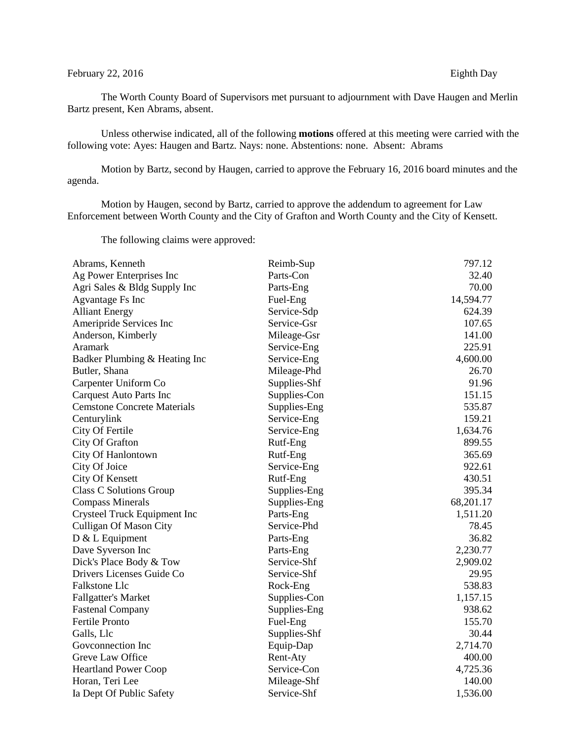## February 22, 2016 Eighth Day

The Worth County Board of Supervisors met pursuant to adjournment with Dave Haugen and Merlin Bartz present, Ken Abrams, absent.

Unless otherwise indicated, all of the following **motions** offered at this meeting were carried with the following vote: Ayes: Haugen and Bartz. Nays: none. Abstentions: none. Absent: Abrams

Motion by Bartz, second by Haugen, carried to approve the February 16, 2016 board minutes and the agenda.

Motion by Haugen, second by Bartz, carried to approve the addendum to agreement for Law Enforcement between Worth County and the City of Grafton and Worth County and the City of Kensett.

The following claims were approved:

| Abrams, Kenneth                    | Reimb-Sup    | 797.12    |
|------------------------------------|--------------|-----------|
| Ag Power Enterprises Inc           | Parts-Con    | 32.40     |
| Agri Sales & Bldg Supply Inc       | Parts-Eng    | 70.00     |
| <b>Agvantage Fs Inc</b>            | Fuel-Eng     | 14,594.77 |
| <b>Alliant Energy</b>              | Service-Sdp  | 624.39    |
| Ameripride Services Inc            | Service-Gsr  | 107.65    |
| Anderson, Kimberly                 | Mileage-Gsr  | 141.00    |
| Aramark                            | Service-Eng  | 225.91    |
| Badker Plumbing & Heating Inc      | Service-Eng  | 4,600.00  |
| Butler, Shana                      | Mileage-Phd  | 26.70     |
| Carpenter Uniform Co               | Supplies-Shf | 91.96     |
| <b>Carquest Auto Parts Inc</b>     | Supplies-Con | 151.15    |
| <b>Cemstone Concrete Materials</b> | Supplies-Eng | 535.87    |
| Centurylink                        | Service-Eng  | 159.21    |
| City Of Fertile                    | Service-Eng  | 1,634.76  |
| City Of Grafton                    | Rutf-Eng     | 899.55    |
| City Of Hanlontown                 | Rutf-Eng     | 365.69    |
| City Of Joice                      | Service-Eng  | 922.61    |
| City Of Kensett                    | Rutf-Eng     | 430.51    |
| <b>Class C Solutions Group</b>     | Supplies-Eng | 395.34    |
| <b>Compass Minerals</b>            | Supplies-Eng | 68,201.17 |
| Crysteel Truck Equipment Inc       | Parts-Eng    | 1,511.20  |
| Culligan Of Mason City             | Service-Phd  | 78.45     |
| D & L Equipment                    | Parts-Eng    | 36.82     |
| Dave Syverson Inc                  | Parts-Eng    | 2,230.77  |
| Dick's Place Body & Tow            | Service-Shf  | 2,909.02  |
| Drivers Licenses Guide Co          | Service-Shf  | 29.95     |
| Falkstone Llc                      | Rock-Eng     | 538.83    |
| <b>Fallgatter's Market</b>         | Supplies-Con | 1,157.15  |
| <b>Fastenal Company</b>            | Supplies-Eng | 938.62    |
| Fertile Pronto                     | Fuel-Eng     | 155.70    |
| Galls, Llc                         | Supplies-Shf | 30.44     |
| Goveonnection Inc                  | Equip-Dap    | 2,714.70  |
| Greve Law Office                   | Rent-Aty     | 400.00    |
| <b>Heartland Power Coop</b>        | Service-Con  | 4,725.36  |
| Horan, Teri Lee                    | Mileage-Shf  | 140.00    |
| Ia Dept Of Public Safety           | Service-Shf  | 1,536.00  |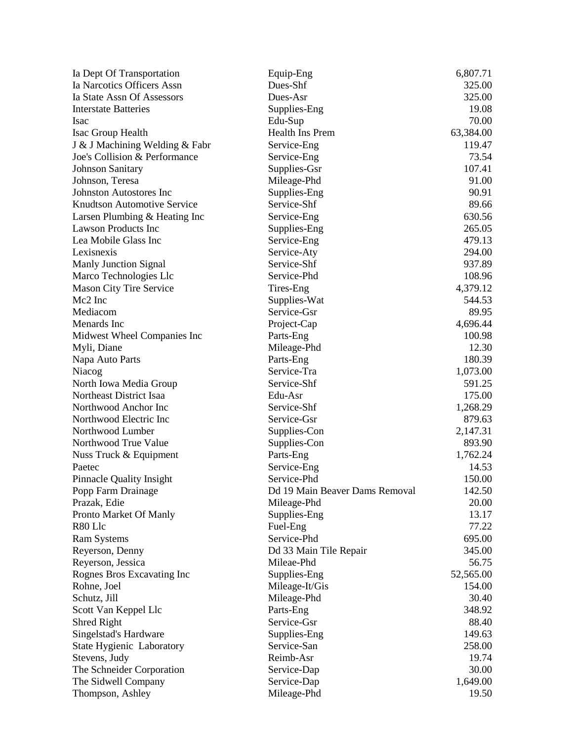| Ia Dept Of Transportation        | Equip-Eng                      | 6,807.71  |
|----------------------------------|--------------------------------|-----------|
| Ia Narcotics Officers Assn       | Dues-Shf                       | 325.00    |
| Ia State Assn Of Assessors       | Dues-Asr                       | 325.00    |
| <b>Interstate Batteries</b>      | Supplies-Eng                   | 19.08     |
| <b>Isac</b>                      | Edu-Sup                        | 70.00     |
| Isac Group Health                | <b>Health Ins Prem</b>         | 63,384.00 |
| J & J Machining Welding & Fabr   | Service-Eng                    | 119.47    |
| Joe's Collision & Performance    | Service-Eng                    | 73.54     |
| <b>Johnson Sanitary</b>          | Supplies-Gsr                   | 107.41    |
| Johnson, Teresa                  | Mileage-Phd                    | 91.00     |
| <b>Johnston Autostores Inc</b>   | Supplies-Eng                   | 90.91     |
| Knudtson Automotive Service      | Service-Shf                    | 89.66     |
| Larsen Plumbing & Heating Inc    | Service-Eng                    | 630.56    |
| <b>Lawson Products Inc</b>       | Supplies-Eng                   | 265.05    |
| Lea Mobile Glass Inc             | Service-Eng                    | 479.13    |
| Lexisnexis                       | Service-Aty                    | 294.00    |
| <b>Manly Junction Signal</b>     | Service-Shf                    | 937.89    |
| Marco Technologies Llc           | Service-Phd                    | 108.96    |
| <b>Mason City Tire Service</b>   | Tires-Eng                      | 4,379.12  |
| Mc2 Inc                          | Supplies-Wat                   | 544.53    |
| Mediacom                         | Service-Gsr                    | 89.95     |
| Menards Inc                      | Project-Cap                    | 4,696.44  |
| Midwest Wheel Companies Inc      | Parts-Eng                      | 100.98    |
| Myli, Diane                      | Mileage-Phd                    | 12.30     |
| Napa Auto Parts                  | Parts-Eng                      | 180.39    |
| Niacog                           | Service-Tra                    | 1,073.00  |
| North Iowa Media Group           | Service-Shf                    | 591.25    |
| Northeast District Isaa          | Edu-Asr                        | 175.00    |
| Northwood Anchor Inc             | Service-Shf                    | 1,268.29  |
| Northwood Electric Inc           | Service-Gsr                    | 879.63    |
| Northwood Lumber                 | Supplies-Con                   | 2,147.31  |
| Northwood True Value             | Supplies-Con                   | 893.90    |
| Nuss Truck & Equipment           | Parts-Eng                      | 1,762.24  |
| Paetec                           | Service-Eng                    | 14.53     |
| <b>Pinnacle Quality Insight</b>  | Service-Phd                    | 150.00    |
| Popp Farm Drainage               | Dd 19 Main Beaver Dams Removal | 142.50    |
| Prazak, Edie                     | Mileage-Phd                    | 20.00     |
| Pronto Market Of Manly           | Supplies-Eng                   | 13.17     |
| R80 Llc                          | Fuel-Eng                       | 77.22     |
| <b>Ram Systems</b>               | Service-Phd                    | 695.00    |
| Reyerson, Denny                  | Dd 33 Main Tile Repair         | 345.00    |
| Reyerson, Jessica                | Mileae-Phd                     | 56.75     |
| Rognes Bros Excavating Inc       | Supplies-Eng                   | 52,565.00 |
| Rohne, Joel                      | Mileage-It/Gis                 | 154.00    |
| Schutz, Jill                     | Mileage-Phd                    | 30.40     |
| Scott Van Keppel Llc             | Parts-Eng                      | 348.92    |
| Shred Right                      | Service-Gsr                    | 88.40     |
| Singelstad's Hardware            | Supplies-Eng                   | 149.63    |
| <b>State Hygienic Laboratory</b> | Service-San                    | 258.00    |
| Stevens, Judy                    | Reimb-Asr                      | 19.74     |
| The Schneider Corporation        | Service-Dap                    | 30.00     |
| The Sidwell Company              | Service-Dap                    | 1,649.00  |
| Thompson, Ashley                 | Mileage-Phd                    | 19.50     |
|                                  |                                |           |